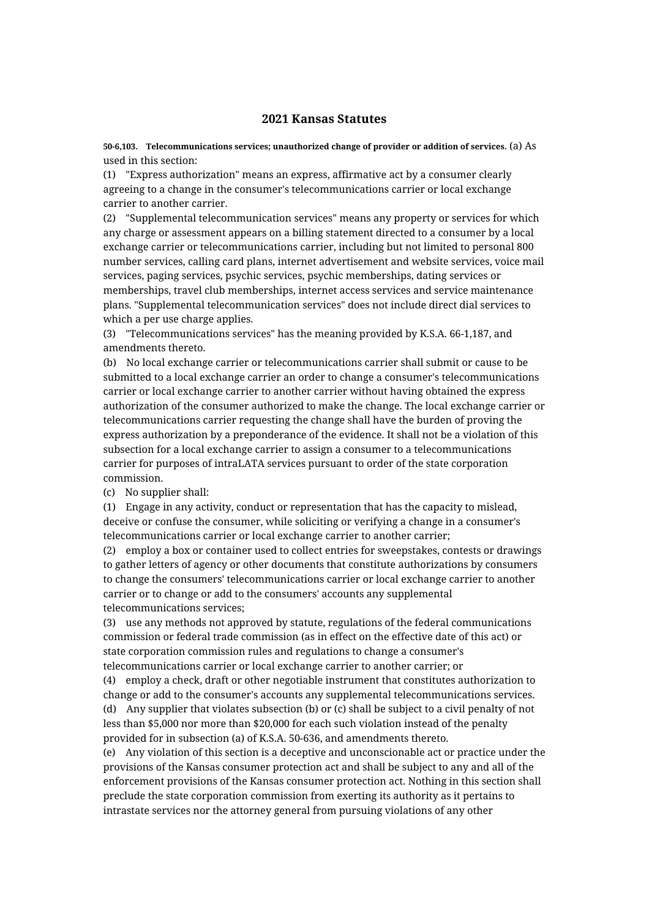## **2021 Kansas Statutes**

**50-6,103. Telecommunications services; unauthorized change of provider or addition of services.** (a) As used in this section:

(1) "Express authorization" means an express, affirmative act by a consumer clearly agreeing to a change in the consumer's telecommunications carrier or local exchange carrier to another carrier.

(2) "Supplemental telecommunication services" means any property or services for which any charge or assessment appears on a billing statement directed to a consumer by a local exchange carrier or telecommunications carrier, including but not limited to personal 800 number services, calling card plans, internet advertisement and website services, voice mail services, paging services, psychic services, psychic memberships, dating services or memberships, travel club memberships, internet access services and service maintenance plans. "Supplemental telecommunication services" does not include direct dial services to which a per use charge applies.

(3) "Telecommunications services" has the meaning provided by K.S.A. 66-1,187, and amendments thereto.

(b) No local exchange carrier or telecommunications carrier shall submit or cause to be submitted to a local exchange carrier an order to change a consumer's telecommunications carrier or local exchange carrier to another carrier without having obtained the express authorization of the consumer authorized to make the change. The local exchange carrier or telecommunications carrier requesting the change shall have the burden of proving the express authorization by a preponderance of the evidence. It shall not be a violation of this subsection for a local exchange carrier to assign a consumer to a telecommunications carrier for purposes of intraLATA services pursuant to order of the state corporation commission.

(c) No supplier shall:

(1) Engage in any activity, conduct or representation that has the capacity to mislead, deceive or confuse the consumer, while soliciting or verifying a change in a consumer's telecommunications carrier or local exchange carrier to another carrier;

(2) employ a box or container used to collect entries for sweepstakes, contests or drawings to gather letters of agency or other documents that constitute authorizations by consumers to change the consumers' telecommunications carrier or local exchange carrier to another carrier or to change or add to the consumers' accounts any supplemental telecommunications services;

(3) use any methods not approved by statute, regulations of the federal communications commission or federal trade commission (as in effect on the effective date of this act) or state corporation commission rules and regulations to change a consumer's telecommunications carrier or local exchange carrier to another carrier; or

(4) employ a check, draft or other negotiable instrument that constitutes authorization to change or add to the consumer's accounts any supplemental telecommunications services. (d) Any supplier that violates subsection (b) or (c) shall be subject to a civil penalty of not less than \$5,000 nor more than \$20,000 for each such violation instead of the penalty provided for in subsection (a) of K.S.A. 50-636, and amendments thereto.

(e) Any violation of this section is a deceptive and unconscionable act or practice under the provisions of the Kansas consumer protection act and shall be subject to any and all of the enforcement provisions of the Kansas consumer protection act. Nothing in this section shall preclude the state corporation commission from exerting its authority as it pertains to intrastate services nor the attorney general from pursuing violations of any other